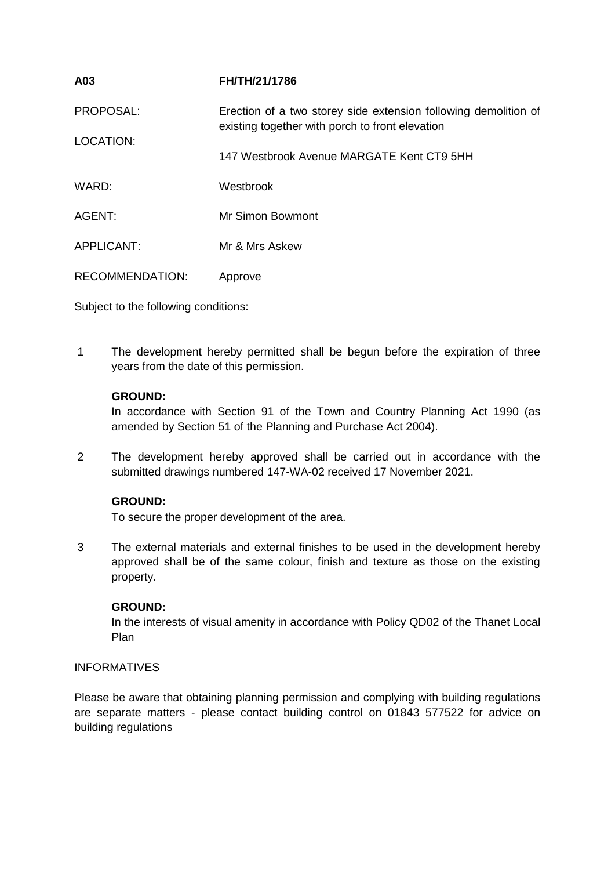| A03                    | FH/TH/21/1786                                                                                                      |
|------------------------|--------------------------------------------------------------------------------------------------------------------|
| PROPOSAL:              | Erection of a two storey side extension following demolition of<br>existing together with porch to front elevation |
| LOCATION:              |                                                                                                                    |
|                        | 147 Westbrook Avenue MARGATE Kent CT9 5HH                                                                          |
| WARD:                  | Westbrook                                                                                                          |
| AGENT:                 | Mr Simon Bowmont                                                                                                   |
| <b>APPLICANT:</b>      | Mr & Mrs Askew                                                                                                     |
| <b>RECOMMENDATION:</b> | Approve                                                                                                            |

Subject to the following conditions:

1 The development hereby permitted shall be begun before the expiration of three years from the date of this permission.

# **GROUND:**

In accordance with Section 91 of the Town and Country Planning Act 1990 (as amended by Section 51 of the Planning and Purchase Act 2004).

2 The development hereby approved shall be carried out in accordance with the submitted drawings numbered 147-WA-02 received 17 November 2021.

# **GROUND:**

To secure the proper development of the area.

3 The external materials and external finishes to be used in the development hereby approved shall be of the same colour, finish and texture as those on the existing property.

## **GROUND:**

In the interests of visual amenity in accordance with Policy QD02 of the Thanet Local Plan

## **INFORMATIVES**

Please be aware that obtaining planning permission and complying with building regulations are separate matters - please contact building control on 01843 577522 for advice on building regulations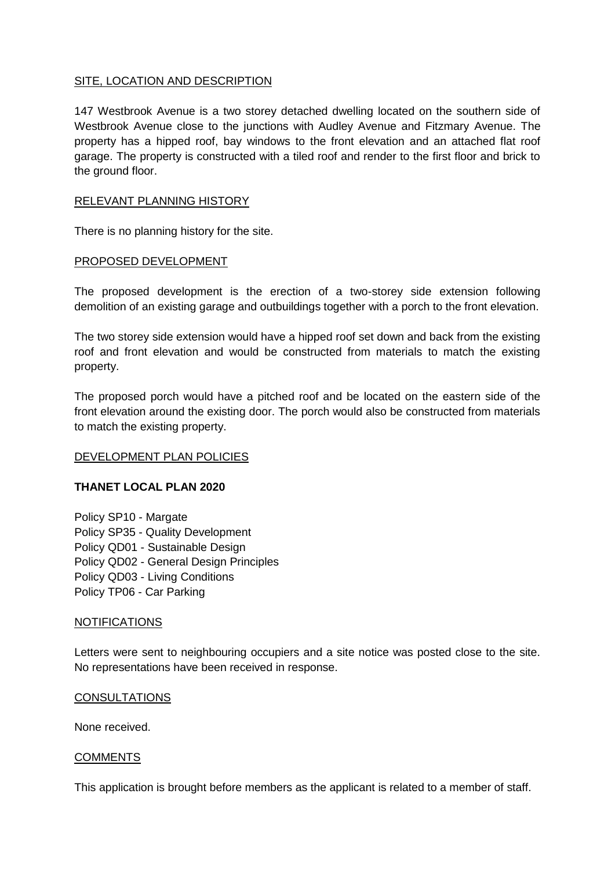## SITE, LOCATION AND DESCRIPTION

147 Westbrook Avenue is a two storey detached dwelling located on the southern side of Westbrook Avenue close to the junctions with Audley Avenue and Fitzmary Avenue. The property has a hipped roof, bay windows to the front elevation and an attached flat roof garage. The property is constructed with a tiled roof and render to the first floor and brick to the ground floor.

## RELEVANT PLANNING HISTORY

There is no planning history for the site.

#### PROPOSED DEVELOPMENT

The proposed development is the erection of a two-storey side extension following demolition of an existing garage and outbuildings together with a porch to the front elevation.

The two storey side extension would have a hipped roof set down and back from the existing roof and front elevation and would be constructed from materials to match the existing property.

The proposed porch would have a pitched roof and be located on the eastern side of the front elevation around the existing door. The porch would also be constructed from materials to match the existing property.

## DEVELOPMENT PLAN POLICIES

## **THANET LOCAL PLAN 2020**

Policy SP10 - Margate Policy SP35 - Quality Development Policy QD01 - Sustainable Design Policy QD02 - General Design Principles Policy QD03 - Living Conditions Policy TP06 - Car Parking

#### NOTIFICATIONS

Letters were sent to neighbouring occupiers and a site notice was posted close to the site. No representations have been received in response.

#### **CONSULTATIONS**

None received.

#### COMMENTS

This application is brought before members as the applicant is related to a member of staff.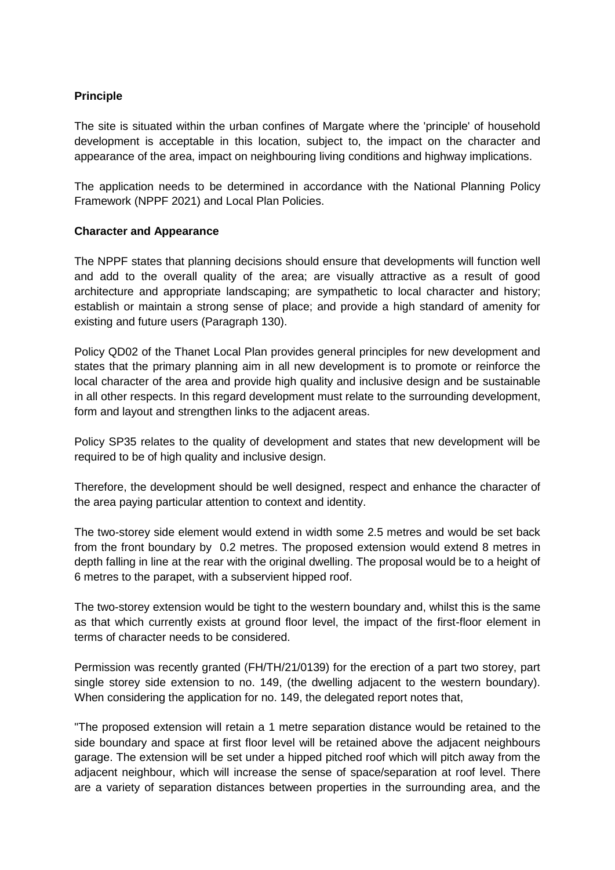# **Principle**

The site is situated within the urban confines of Margate where the 'principle' of household development is acceptable in this location, subject to, the impact on the character and appearance of the area, impact on neighbouring living conditions and highway implications.

The application needs to be determined in accordance with the National Planning Policy Framework (NPPF 2021) and Local Plan Policies.

## **Character and Appearance**

The NPPF states that planning decisions should ensure that developments will function well and add to the overall quality of the area; are visually attractive as a result of good architecture and appropriate landscaping; are sympathetic to local character and history; establish or maintain a strong sense of place; and provide a high standard of amenity for existing and future users (Paragraph 130).

Policy QD02 of the Thanet Local Plan provides general principles for new development and states that the primary planning aim in all new development is to promote or reinforce the local character of the area and provide high quality and inclusive design and be sustainable in all other respects. In this regard development must relate to the surrounding development, form and layout and strengthen links to the adjacent areas.

Policy SP35 relates to the quality of development and states that new development will be required to be of high quality and inclusive design.

Therefore, the development should be well designed, respect and enhance the character of the area paying particular attention to context and identity.

The two-storey side element would extend in width some 2.5 metres and would be set back from the front boundary by 0.2 metres. The proposed extension would extend 8 metres in depth falling in line at the rear with the original dwelling. The proposal would be to a height of 6 metres to the parapet, with a subservient hipped roof.

The two-storey extension would be tight to the western boundary and, whilst this is the same as that which currently exists at ground floor level, the impact of the first-floor element in terms of character needs to be considered.

Permission was recently granted (FH/TH/21/0139) for the erection of a part two storey, part single storey side extension to no. 149, (the dwelling adjacent to the western boundary). When considering the application for no. 149, the delegated report notes that,

"The proposed extension will retain a 1 metre separation distance would be retained to the side boundary and space at first floor level will be retained above the adjacent neighbours garage. The extension will be set under a hipped pitched roof which will pitch away from the adjacent neighbour, which will increase the sense of space/separation at roof level. There are a variety of separation distances between properties in the surrounding area, and the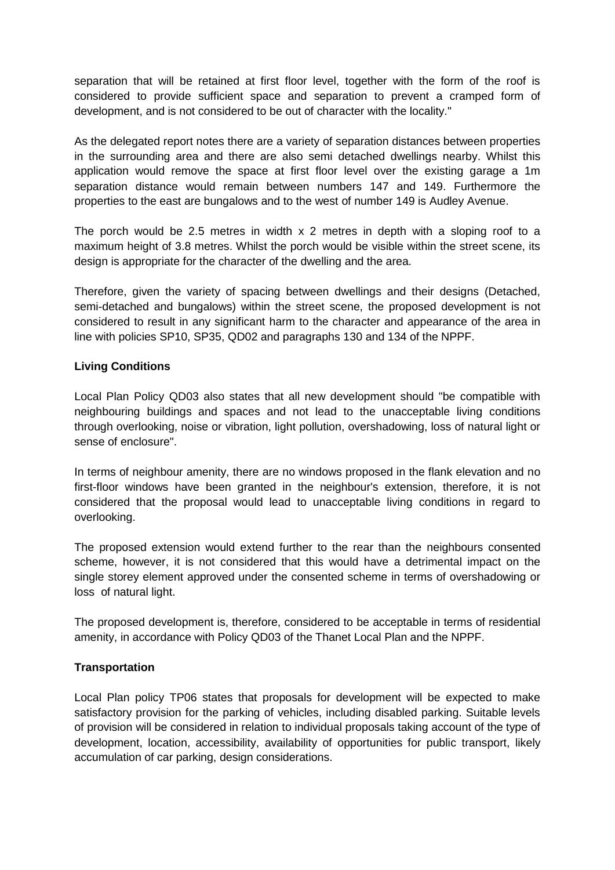separation that will be retained at first floor level, together with the form of the roof is considered to provide sufficient space and separation to prevent a cramped form of development, and is not considered to be out of character with the locality."

As the delegated report notes there are a variety of separation distances between properties in the surrounding area and there are also semi detached dwellings nearby. Whilst this application would remove the space at first floor level over the existing garage a 1m separation distance would remain between numbers 147 and 149. Furthermore the properties to the east are bungalows and to the west of number 149 is Audley Avenue.

The porch would be 2.5 metres in width  $x$  2 metres in depth with a sloping roof to a maximum height of 3.8 metres. Whilst the porch would be visible within the street scene, its design is appropriate for the character of the dwelling and the area.

Therefore, given the variety of spacing between dwellings and their designs (Detached, semi-detached and bungalows) within the street scene, the proposed development is not considered to result in any significant harm to the character and appearance of the area in line with policies SP10, SP35, QD02 and paragraphs 130 and 134 of the NPPF.

# **Living Conditions**

Local Plan Policy QD03 also states that all new development should "be compatible with neighbouring buildings and spaces and not lead to the unacceptable living conditions through overlooking, noise or vibration, light pollution, overshadowing, loss of natural light or sense of enclosure".

In terms of neighbour amenity, there are no windows proposed in the flank elevation and no first-floor windows have been granted in the neighbour's extension, therefore, it is not considered that the proposal would lead to unacceptable living conditions in regard to overlooking.

The proposed extension would extend further to the rear than the neighbours consented scheme, however, it is not considered that this would have a detrimental impact on the single storey element approved under the consented scheme in terms of overshadowing or loss of natural light.

The proposed development is, therefore, considered to be acceptable in terms of residential amenity, in accordance with Policy QD03 of the Thanet Local Plan and the NPPF.

## **Transportation**

Local Plan policy TP06 states that proposals for development will be expected to make satisfactory provision for the parking of vehicles, including disabled parking. Suitable levels of provision will be considered in relation to individual proposals taking account of the type of development, location, accessibility, availability of opportunities for public transport, likely accumulation of car parking, design considerations.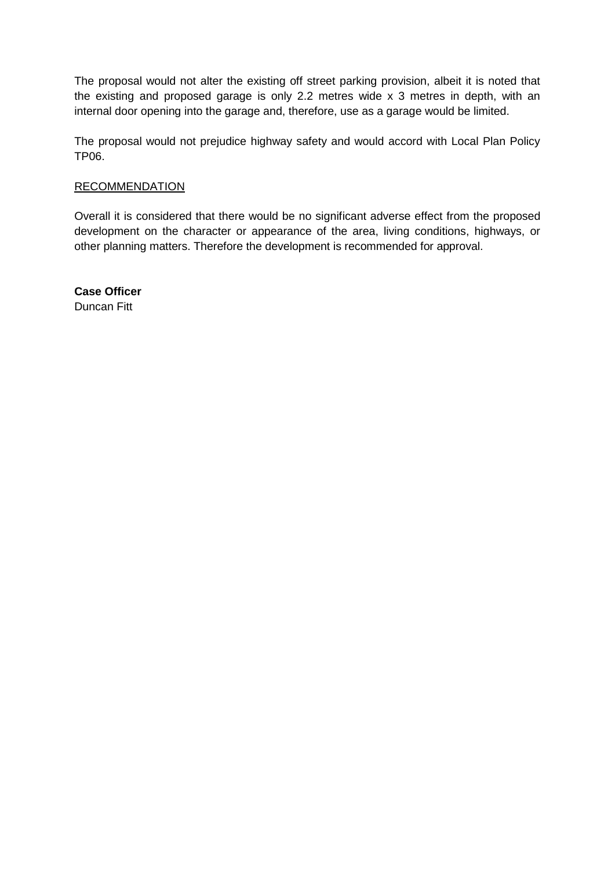The proposal would not alter the existing off street parking provision, albeit it is noted that the existing and proposed garage is only 2.2 metres wide x 3 metres in depth, with an internal door opening into the garage and, therefore, use as a garage would be limited.

The proposal would not prejudice highway safety and would accord with Local Plan Policy TP06.

## **RECOMMENDATION**

Overall it is considered that there would be no significant adverse effect from the proposed development on the character or appearance of the area, living conditions, highways, or other planning matters. Therefore the development is recommended for approval.

**Case Officer** Duncan Fitt